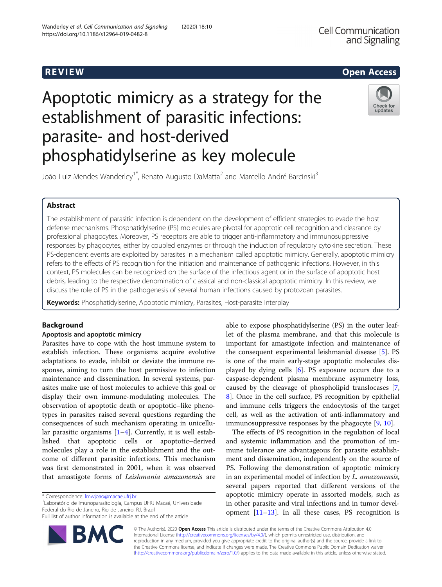## R EVI EW Open Access

# Apoptotic mimicry as a strategy for the establishment of parasitic infections: parasite- and host-derived phosphatidylserine as key molecule



João Luiz Mendes Wanderley<sup>1\*</sup>, Renato Augusto DaMatta<sup>2</sup> and Marcello André Barcinski<sup>3</sup>

## Abstract

The establishment of parasitic infection is dependent on the development of efficient strategies to evade the host defense mechanisms. Phosphatidylserine (PS) molecules are pivotal for apoptotic cell recognition and clearance by professional phagocytes. Moreover, PS receptors are able to trigger anti-inflammatory and immunosuppressive responses by phagocytes, either by coupled enzymes or through the induction of regulatory cytokine secretion. These PS-dependent events are exploited by parasites in a mechanism called apoptotic mimicry. Generally, apoptotic mimicry refers to the effects of PS recognition for the initiation and maintenance of pathogenic infections. However, in this context, PS molecules can be recognized on the surface of the infectious agent or in the surface of apoptotic host debris, leading to the respective denomination of classical and non-classical apoptotic mimicry. In this review, we discuss the role of PS in the pathogenesis of several human infections caused by protozoan parasites.

Keywords: Phosphatidylserine, Apoptotic mimicry, Parasites, Host-parasite interplay

## Background

## Apoptosis and apoptotic mimicry

Parasites have to cope with the host immune system to establish infection. These organisms acquire evolutive adaptations to evade, inhibit or deviate the immune response, aiming to turn the host permissive to infection maintenance and dissemination. In several systems, parasites make use of host molecules to achieve this goal or display their own immune-modulating molecules. The observation of apoptotic death or apoptotic–like phenotypes in parasites raised several questions regarding the consequences of such mechanism operating in unicellular parasitic organisms [\[1](#page-7-0)–[4\]](#page-7-0). Currently, it is well established that apoptotic cells or apoptotic–derived molecules play a role in the establishment and the outcome of different parasitic infections. This mechanism was first demonstrated in 2001, when it was observed that amastigote forms of Leishmania amazonensis are

Laboratório de Imunoparasitologia, Campus UFRJ Macaé, Universidade Federal do Rio de Janeiro, Rio de Janeiro, RJ, Brazil

Full list of author information is available at the end of the article



able to expose phosphatidylserine (PS) in the outer leaflet of the plasma membrane, and that this molecule is important for amastigote infection and maintenance of the consequent experimental leishmanial disease [\[5\]](#page-7-0). PS is one of the main early-stage apoptotic molecules displayed by dying cells [[6\]](#page-7-0). PS exposure occurs due to a caspase-dependent plasma membrane asymmetry loss, caused by the cleavage of phospholipid translocases [\[7](#page-7-0), [8\]](#page-7-0). Once in the cell surface, PS recognition by epithelial and immune cells triggers the endocytosis of the target cell, as well as the activation of anti-inflammatory and immunosuppressive responses by the phagocyte [\[9,](#page-7-0) [10\]](#page-7-0).

The effects of PS recognition in the regulation of local and systemic inflammation and the promotion of immune tolerance are advantageous for parasite establishment and dissemination, independently on the source of PS. Following the demonstration of apoptotic mimicry in an experimental model of infection by L. amazonensis, several papers reported that different versions of the apoptotic mimicry operate in assorted models, such as in other parasite and viral infections and in tumor development  $[11–13]$  $[11–13]$  $[11–13]$  $[11–13]$  $[11–13]$ . In all these cases, PS recognition is

© The Author(s). 2020 Open Access This article is distributed under the terms of the Creative Commons Attribution 4.0 International License [\(http://creativecommons.org/licenses/by/4.0/](http://creativecommons.org/licenses/by/4.0/)), which permits unrestricted use, distribution, and reproduction in any medium, provided you give appropriate credit to the original author(s) and the source, provide a link to the Creative Commons license, and indicate if changes were made. The Creative Commons Public Domain Dedication waiver [\(http://creativecommons.org/publicdomain/zero/1.0/](http://creativecommons.org/publicdomain/zero/1.0/)) applies to the data made available in this article, unless otherwise stated.

<sup>\*</sup> Correspondence: [lmwjoao@macae.ufrj.br](mailto:lmwjoao@macae.ufrj.br) <sup>1</sup>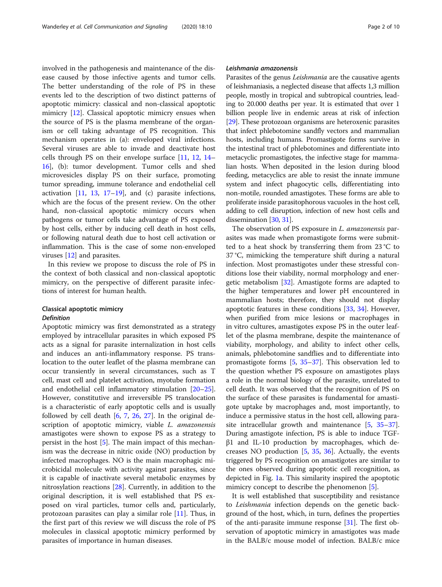involved in the pathogenesis and maintenance of the disease caused by those infective agents and tumor cells. The better understanding of the role of PS in these events led to the description of two distinct patterns of apoptotic mimicry: classical and non-classical apoptotic mimicry [\[12\]](#page-7-0). Classical apoptotic mimicry ensues when the source of PS is the plasma membrane of the organism or cell taking advantage of PS recognition. This mechanism operates in (a): enveloped viral infections. Several viruses are able to invade and deactivate host cells through PS on their envelope surface [[11,](#page-7-0) [12,](#page-7-0) [14](#page-7-0)– [16\]](#page-7-0), (b): tumor development. Tumor cells and shed microvesicles display PS on their surface, promoting tumor spreading, immune tolerance and endothelial cell activation  $[11, 13, 17-19]$  $[11, 13, 17-19]$  $[11, 13, 17-19]$  $[11, 13, 17-19]$  $[11, 13, 17-19]$  $[11, 13, 17-19]$  $[11, 13, 17-19]$  $[11, 13, 17-19]$ , and (c) parasite infections, which are the focus of the present review. On the other hand, non-classical apoptotic mimicry occurs when pathogens or tumor cells take advantage of PS exposed by host cells, either by inducing cell death in host cells, or following natural death due to host cell activation or inflammation. This is the case of some non-enveloped viruses [[12\]](#page-7-0) and parasites.

In this review we propose to discuss the role of PS in the context of both classical and non-classical apoptotic mimicry, on the perspective of different parasite infections of interest for human health.

## Classical apoptotic mimicry Definition

Apoptotic mimicry was first demonstrated as a strategy employed by intracellular parasites in which exposed PS acts as a signal for parasite internalization in host cells and induces an anti-inflammatory response. PS translocation to the outer leaflet of the plasma membrane can occur transiently in several circumstances, such as T cell, mast cell and platelet activation, myotube formation and endothelial cell inflammatory stimulation [[20](#page-7-0)–[25](#page-7-0)]. However, constitutive and irreversible PS translocation is a characteristic of early apoptotic cells and is usually followed by cell death [\[6](#page-7-0), [7](#page-7-0), [26,](#page-7-0) [27\]](#page-7-0). In the original description of apoptotic mimicry, viable L. amazonensis amastigotes were shown to expose PS as a strategy to persist in the host [[5\]](#page-7-0). The main impact of this mechanism was the decrease in nitric oxide (NO) production by infected macrophages. NO is the main macrophagic microbicidal molecule with activity against parasites, since it is capable of inactivate several metabolic enzymes by nitrosylation reactions [[28\]](#page-7-0). Currently, in addition to the original description, it is well established that PS exposed on viral particles, tumor cells and, particularly, protozoan parasites can play a similar role [[11\]](#page-7-0). Thus, in the first part of this review we will discuss the role of PS molecules in classical apoptotic mimicry performed by parasites of importance in human diseases.

## Leishmania amazonensis

Parasites of the genus Leishmania are the causative agents of leishmaniasis, a neglected disease that affects 1,3 million people, mostly in tropical and subtropical countries, leading to 20.000 deaths per year. It is estimated that over 1 billion people live in endemic areas at risk of infection [[29](#page-7-0)]. These protozoan organisms are heteroxenic parasites that infect phlebotomine sandfly vectors and mammalian hosts, including humans. Promastigote forms survive in the intestinal tract of phlebotomines and differentiate into metacyclic promastigotes, the infective stage for mammalian hosts. When deposited in the lesion during blood feeding, metacyclics are able to resist the innate immune system and infect phagocytic cells, differentiating into non-motile, rounded amastigotes. These forms are able to proliferate inside parasitophorous vacuoles in the host cell, adding to cell disruption, infection of new host cells and dissemination [[30](#page-7-0), [31\]](#page-7-0).

The observation of PS exposure in L. amazonensis parasites was made when promastigote forms were submitted to a heat shock by transferring them from 23 °C to 37 °C, mimicking the temperature shift during a natural infection. Most promastigotes under these stressful conditions lose their viability, normal morphology and energetic metabolism [[32\]](#page-7-0). Amastigote forms are adapted to the higher temperatures and lower pH encountered in mammalian hosts; therefore, they should not display apoptotic features in these conditions [\[33](#page-7-0), [34](#page-7-0)]. However, when purified from mice lesions or macrophages in in vitro cultures, amastigotes expose PS in the outer leaflet of the plasma membrane, despite the maintenance of viability, morphology, and ability to infect other cells, animals, phlebotomine sandflies and to differentiate into promastigote forms [[5](#page-7-0), [35](#page-7-0)–[37](#page-7-0)]. This observation led to the question whether PS exposure on amastigotes plays a role in the normal biology of the parasite, unrelated to cell death. It was observed that the recognition of PS on the surface of these parasites is fundamental for amastigote uptake by macrophages and, most importantly, to induce a permissive status in the host cell, allowing parasite intracellular growth and maintenance [\[5,](#page-7-0) [35](#page-7-0)–[37](#page-7-0)]. During amastigote infection, PS is able to induce TGFβ1 and IL-10 production by macrophages, which decreases NO production  $[5, 35, 36]$  $[5, 35, 36]$  $[5, 35, 36]$  $[5, 35, 36]$  $[5, 35, 36]$  $[5, 35, 36]$ . Actually, the events triggered by PS recognition on amastigotes are similar to the ones observed during apoptotic cell recognition, as depicted in Fig. [1](#page-2-0)a. This similarity inspired the apoptotic mimicry concept to describe the phenomenon [\[5](#page-7-0)].

It is well established that susceptibility and resistance to Leishmania infection depends on the genetic background of the host, which, in turn, defines the properties of the anti-parasite immune response [[31\]](#page-7-0). The first observation of apoptotic mimicry in amastigotes was made in the BALB/c mouse model of infection. BALB/c mice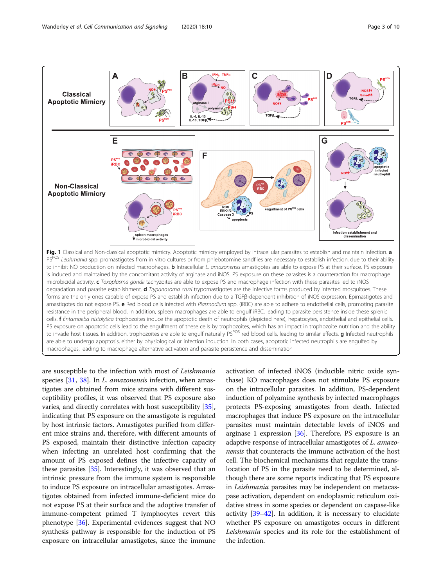<span id="page-2-0"></span>

are susceptible to the infection with most of Leishmania species [[31,](#page-7-0) [38](#page-7-0)]. In *L. amazonensis* infection, when amastigotes are obtained from mice strains with different susceptibility profiles, it was observed that PS exposure also varies, and directly correlates with host susceptibility [[35](#page-7-0)], indicating that PS exposure on the amastigote is regulated by host intrinsic factors. Amastigotes purified from different mice strains and, therefore, with different amounts of PS exposed, maintain their distinctive infection capacity when infecting an unrelated host confirming that the amount of PS exposed defines the infective capacity of these parasites [[35\]](#page-7-0). Interestingly, it was observed that an intrinsic pressure from the immune system is responsible to induce PS exposure on intracellular amastigotes. Amastigotes obtained from infected immune-deficient mice do not expose PS at their surface and the adoptive transfer of immune-competent primed T lymphocytes revert this phenotype [\[36](#page-7-0)]. Experimental evidences suggest that NO synthesis pathway is responsible for the induction of PS exposure on intracellular amastigotes, since the immune

activation of infected iNOS (inducible nitric oxide synthase) KO macrophages does not stimulate PS exposure on the intracellular parasites. In addition, PS-dependent induction of polyamine synthesis by infected macrophages protects PS-exposing amastigotes from death. Infected macrophages that induce PS exposure on the intracellular parasites must maintain detectable levels of iNOS and arginase 1 expression [[36](#page-7-0)]. Therefore, PS exposure is an adaptive response of intracellular amastigotes of L. amazonensis that counteracts the immune activation of the host cell. The biochemical mechanisms that regulate the translocation of PS in the parasite need to be determined, although there are some reports indicating that PS exposure in Leishmania parasites may be independent on metacaspase activation, dependent on endoplasmic reticulum oxidative stress in some species or dependent on caspase-like activity [[39](#page-7-0)–[42\]](#page-8-0). In addition, it is necessary to elucidate whether PS exposure on amastigotes occurs in different Leishmania species and its role for the establishment of the infection.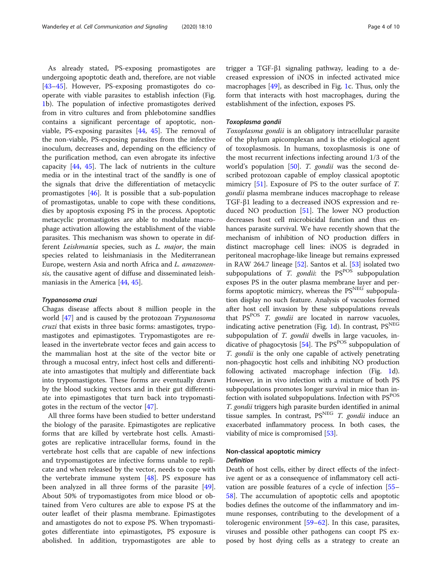As already stated, PS-exposing promastigotes are undergoing apoptotic death and, therefore, are not viable [[43](#page-8-0)–[45](#page-8-0)]. However, PS-exposing promastigotes do cooperate with viable parasites to establish infection (Fig. [1b](#page-2-0)). The population of infective promastigotes derived from in vitro cultures and from phlebotomine sandflies contains a significant percentage of apoptotic, nonviable, PS-exposing parasites [\[44,](#page-8-0) [45\]](#page-8-0). The removal of the non-viable, PS-exposing parasites from the infective inoculum, decreases and, depending on the efficiency of the purification method, can even abrogate its infective capacity [[44](#page-8-0), [45](#page-8-0)]. The lack of nutrients in the culture media or in the intestinal tract of the sandfly is one of the signals that drive the differentiation of metacyclic promastigotes [\[46](#page-8-0)]. It is possible that a sub-population of promastigotas, unable to cope with these conditions, dies by apoptosis exposing PS in the process. Apoptotic metacyclic promastigotes are able to modulate macrophage activation allowing the establishment of the viable parasites. This mechanism was shown to operate in different Leishmania species, such as L. major, the main species related to leishmaniasis in the Mediterranean Europe, western Asia and north Africa and L. amazonensis, the causative agent of diffuse and disseminated leishmaniasis in the America [\[44,](#page-8-0) [45\]](#page-8-0).

#### Trypanosoma cruzi

Chagas disease affects about 8 million people in the world [[47](#page-8-0)] and is caused by the protozoan Trypanosoma cruzi that exists in three basic forms: amastigotes, trypomastigotes and epimastigotes. Trypomastigotes are released in the invertebrate vector feces and gain access to the mammalian host at the site of the vector bite or through a mucosal entry, infect host cells and differentiate into amastigotes that multiply and differentiate back into trypomastigotes. These forms are eventually drawn by the blood sucking vectors and in their gut differentiate into epimastigotes that turn back into trypomastigotes in the rectum of the vector [[47\]](#page-8-0).

All three forms have been studied to better understand the biology of the parasite. Epimastigotes are replicative forms that are killed by vertebrate host cells. Amastigotes are replicative intracellular forms, found in the vertebrate host cells that are capable of new infections and trypomastigotes are infective forms unable to replicate and when released by the vector, needs to cope with the vertebrate immune system  $[48]$  $[48]$ . PS exposure has been analyzed in all three forms of the parasite [\[49](#page-8-0)]. About 50% of trypomastigotes from mice blood or obtained from Vero cultures are able to expose PS at the outer leaflet of their plasma membrane. Epimastigotes and amastigotes do not to expose PS. When trypomastigotes differentiate into epimastigotes, PS exposure is abolished. In addition, trypomastigotes are able to trigger a TGF-β1 signaling pathway, leading to a decreased expression of iNOS in infected activated mice macrophages [[49](#page-8-0)], as described in Fig. [1](#page-2-0)c. Thus, only the form that interacts with host macrophages, during the establishment of the infection, exposes PS.

#### Toxoplasma gondii

Toxoplasma gondii is an obligatory intracellular parasite of the phylum apicomplexan and is the etiological agent of toxoplasmosis. In humans, toxoplasmosis is one of the most recurrent infections infecting around 1/3 of the world's population  $[50]$  $[50]$ . T. gondii was the second described protozoan capable of employ classical apoptotic mimicry [[51](#page-8-0)]. Exposure of PS to the outer surface of T. gondii plasma membrane induces macrophage to release TGF-β1 leading to a decreased iNOS expression and reduced NO production [\[51](#page-8-0)]. The lower NO production decreases host cell microbicidal function and thus enhances parasite survival. We have recently shown that the mechanism of inhibition of NO production differs in distinct macrophage cell lines: iNOS is degraded in peritoneal macrophage-like lineage but remains expressed in RAW 264.7 lineage [\[52](#page-8-0)]. Santos et al. [[53\]](#page-8-0) isolated two subpopulations of  $T.$  gondii: the  $PS<sup>POS</sup>$  subpopulation exposes PS in the outer plasma membrane layer and performs apoptotic mimicry, whereas the  $PS<sup>NEG</sup>$  subpopulation display no such feature. Analysis of vacuoles formed after host cell invasion by these subpopulations reveals that  $PS^{POS}$  T. gondii are located in narrow vacuoles, indicating active penetration (Fig. [1](#page-2-0)d). In contrast,  $PS<sup>NEG</sup>$ subpopulation of T. gondii dwells in large vacuoles, indicative of phagocytosis  $[54]$  $[54]$ . The PS<sup>POS</sup> subpopulation of T. gondii is the only one capable of actively penetrating non-phagocytic host cells and inhibiting NO production following activated macrophage infection (Fig. [1](#page-2-0)d). However, in in vivo infection with a mixture of both PS subpopulations promotes longer survival in mice than infection with isolated subpopulations. Infection with PS<sup>POS</sup> T. gondii triggers high parasite burden identified in animal tissue samples. In contrast,  $PS<sup>NEG</sup> T. gondii$  induce an exacerbated inflammatory process. In both cases, the viability of mice is compromised [\[53\]](#page-8-0).

## Non-classical apoptotic mimicry Definition

Death of host cells, either by direct effects of the infective agent or as a consequence of inflammatory cell activation are possible features of a cycle of infection [[55](#page-8-0)– [58\]](#page-8-0). The accumulation of apoptotic cells and apoptotic bodies defines the outcome of the inflammatory and immune responses, contributing to the development of a tolerogenic environment  $[59–62]$  $[59–62]$  $[59–62]$  $[59–62]$ . In this case, parasites, viruses and possible other pathogens can coopt PS exposed by host dying cells as a strategy to create an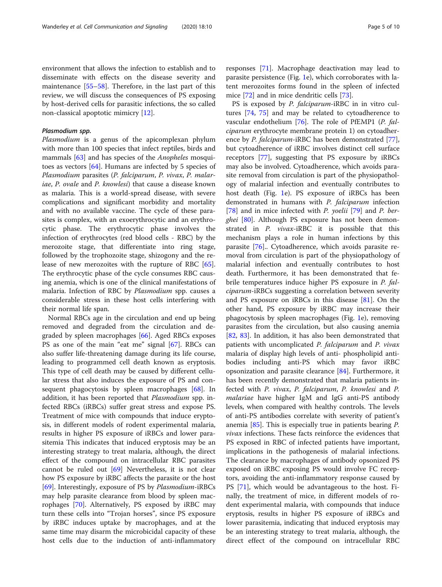environment that allows the infection to establish and to disseminate with effects on the disease severity and maintenance [[55](#page-8-0)–[58](#page-8-0)]. Therefore, in the last part of this review, we will discuss the consequences of PS exposing by host-derived cells for parasitic infections, the so called non-classical apoptotic mimicry [\[12](#page-7-0)].

## Plasmodium spp.

Plasmodium is a genus of the apicomplexan phylum with more than 100 species that infect reptiles, birds and mammals [[63](#page-8-0)] and has species of the *Anopheles* mosquitoes as vectors [[64\]](#page-8-0). Humans are infected by 5 species of Plasmodium parasites (P. falciparum, P. vivax, P. malariae, P. ovale and P. knowlesi) that cause a disease known as malaria. This is a world-spread disease, with severe complications and significant morbidity and mortality and with no available vaccine. The cycle of these parasites is complex, with an exoerythrocytic and an erythrocytic phase. The erythrocytic phase involves the infection of erythrocytes (red blood cells - RBC) by the merozoite stage, that differentiate into ring stage, followed by the trophozoite stage, shizogony and the release of new merozoites with the rupture of RBC [\[65](#page-8-0)]. The erythrocytic phase of the cycle consumes RBC causing anemia, which is one of the clinical manifestations of malaria. Infection of RBC by Plasmodium spp. causes a considerable stress in these host cells interfering with their normal life span.

Normal RBCs age in the circulation and end up being removed and degraded from the circulation and degraded by spleen macrophages [\[66\]](#page-8-0). Aged RBCs exposes PS as one of the main "eat me" signal [[67\]](#page-8-0). RBCs can also suffer life-threatening damage during its life course, leading to programmed cell death known as eryptosis. This type of cell death may be caused by different cellular stress that also induces the exposure of PS and con-sequent phagocytosis by spleen macrophages [[68\]](#page-8-0). In addition, it has been reported that *Plasmodium* spp. infected RBCs (iRBCs) suffer great stress and expose PS. Treatment of mice with compounds that induce eryptosis, in different models of rodent experimental malaria, results in higher PS exposure of iRBCs and lower parasitemia This indicates that induced eryptosis may be an interesting strategy to treat malaria, although, the direct effect of the compound on intracellular RBC parasites cannot be ruled out [[69](#page-8-0)] Nevertheless, it is not clear how PS exposure by iRBC affects the parasite or the host [[69\]](#page-8-0). Interestingly, exposure of PS by Plasmodium-iRBCs may help parasite clearance from blood by spleen macrophages [\[70](#page-8-0)]. Alternatively, PS exposed by iRBC may turn these cells into "Trojan horses", since PS exposure by iRBC induces uptake by macrophages, and at the same time may disarm the microbicidal capacity of these host cells due to the induction of anti-inflammatory responses [\[71\]](#page-8-0). Macrophage deactivation may lead to parasite persistence (Fig. [1e](#page-2-0)), which corroborates with latent merozoites forms found in the spleen of infected mice [\[72](#page-8-0)] and in mice dendritic cells [\[73\]](#page-8-0).

PS is exposed by *P. falciparum*-iRBC in in vitro cultures [[74,](#page-8-0) [75](#page-8-0)] and may be related to cytoadherence to vascular endothelium [[76\]](#page-8-0). The role of PfEMP1 (P. falciparum erythrocyte membrane protein 1) on cytoadher-ence by P. falciparum-iRBC has been demonstrated [\[77](#page-8-0)], but cytoadherence of iRBC involves distinct cell surface receptors [\[77\]](#page-8-0), suggesting that PS exposure by iRBCs may also be involved. Cytoadherence, which avoids parasite removal from circulation is part of the physiopathology of malarial infection and eventually contributes to host death (Fig. [1](#page-2-0)e). PS exposure of iRBCs has been demonstrated in humans with P. falciparum infection [[78\]](#page-8-0) and in mice infected with P. yoelii [[79](#page-8-0)] and P. ber-ghei [\[80](#page-8-0)]. Although PS exposure has not been demonstrated in P. vivax-iRBC it is possible that this mechanism plays a role in human infections by this parasite [[76\]](#page-8-0).. Cytoadherence, which avoids parasite removal from circulation is part of the physiopathology of malarial infection and eventually contributes to host death. Furthermore, it has been demonstrated that febrile temperatures induce higher PS exposure in P. falciparum-iRBCs suggesting a correlation between severity and PS exposure on iRBCs in this disease [\[81](#page-8-0)]. On the other hand, PS exposure by iRBC may increase their phagocytosis by spleen macrophages (Fig. [1e](#page-2-0)), removing parasites from the circulation, but also causing anemia [[82,](#page-8-0) [83](#page-8-0)]. In addition, it has also been demonstrated that patients with uncomplicated P. falciparum and P. vivax malaria of display high levels of anti- phospholipid antibodies including anti-PS which may favor iRBC opsonization and parasite clearance [\[84](#page-8-0)]. Furthermore, it has been recently demonstrated that malaria patients infected with P. vivax, P. falciparum, P. knowlesi and P. malariae have higher IgM and IgG anti-PS antibody levels, when compared with healthy controls. The levels of anti-PS antibodies correlate with severity of patient's anemia [\[85](#page-8-0)]. This is especially true in patients bearing P. vivax infections. These facts reinforce the evidences that PS exposed in RBC of infected patients have important, implications in the pathogenesis of malarial infections. The clearance by macrophages of antibody opsonized PS exposed on iRBC exposing PS would involve FC receptors, avoiding the anti-inflammatory response caused by PS [[71\]](#page-8-0), which would be advantageous to the host. Finally, the treatment of mice, in different models of rodent experimental malaria, with compounds that induce eryptosis, results in higher PS exposure of iRBCs and lower parasitemia, indicating that induced eryptosis may be an interesting strategy to treat malaria, although, the direct effect of the compound on intracellular RBC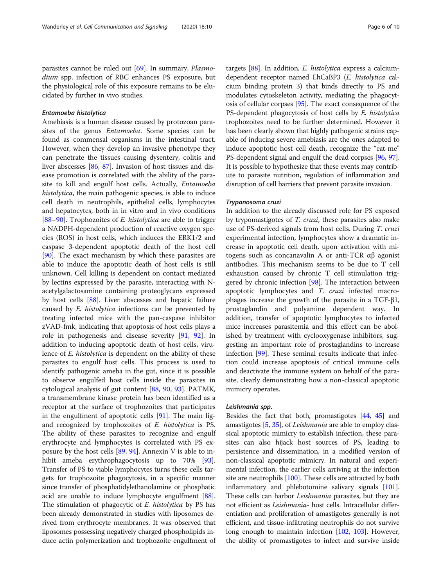parasites cannot be ruled out [[69\]](#page-8-0). In summary, *Plasmo*dium spp. infection of RBC enhances PS exposure, but the physiological role of this exposure remains to be elucidated by further in vivo studies.

### Entamoeba histolytica

Amebiasis is a human disease caused by protozoan parasites of the genus Entamoeba. Some species can be found as commensal organisms in the intestinal tract. However, when they develop an invasive phenotype they can penetrate the tissues causing dysentery, colitis and liver abscesses [\[86](#page-8-0), [87\]](#page-9-0). Invasion of host tissues and disease promotion is correlated with the ability of the parasite to kill and engulf host cells. Actually, Entamoeba histolytica, the main pathogenic species, is able to induce cell death in neutrophils, epithelial cells, lymphocytes and hepatocytes, both in in vitro and in vivo conditions [[88](#page-9-0)–[90](#page-9-0)]. Trophozoites of  $E$ . histolytica are able to trigger a NADPH-dependent production of reactive oxygen species (ROS) in host cells, which induces the ERK1/2 and caspase 3-dependent apoptotic death of the host cell [[90\]](#page-9-0). The exact mechanism by which these parasites are able to induce the apoptotic death of host cells is still unknown. Cell killing is dependent on contact mediated by lectins expressed by the parasite, interacting with Nacetylgalactosamine containing proteoglycans expressed by host cells [\[88](#page-9-0)]. Liver abscesses and hepatic failure caused by E. histolytica infections can be prevented by treating infected mice with the pan-caspase inhibitor zVAD-fmk, indicating that apoptosis of host cells plays a role in pathogenesis and disease severity [[91](#page-9-0), [92\]](#page-9-0). In addition to inducing apoptotic death of host cells, virulence of *E. histolytica* is dependent on the ability of these parasites to engulf host cells. This process is used to identify pathogenic ameba in the gut, since it is possible to observe engulfed host cells inside the parasites in cytological analysis of gut content [\[88](#page-9-0), [90](#page-9-0), [93\]](#page-9-0). PATMK, a transmembrane kinase protein has been identified as a receptor at the surface of trophozoites that participates in the engulfment of apoptotic cells [[91\]](#page-9-0). The main ligand recognized by trophozoites of E. histolytica is PS. The ability of these parasites to recognize and engulf erythrocyte and lymphocytes is correlated with PS exposure by the host cells  $[89, 94]$  $[89, 94]$  $[89, 94]$ . Annexin V is able to inhibit ameba erythrophagocytosis up to 70% [\[93](#page-9-0)]. Transfer of PS to viable lymphocytes turns these cells targets for trophozoite phagocytosis, in a specific manner since transfer of phosphatidylethanolamine or phosphatic acid are unable to induce lymphocyte engulfment [[88](#page-9-0)]. The stimulation of phagocytic of E. histolytica by PS has been already demonstrated in studies with liposomes derived from erythrocyte membranes. It was observed that liposomes possessing negatively charged phospholipids induce actin polymerization and trophozoite engulfment of

targets [\[88\]](#page-9-0). In addition, E. histolytica express a calciumdependent receptor named EhCaBP3 (E. histolytica calcium binding protein 3) that binds directly to PS and modulates cytoskeleton activity, mediating the phagocytosis of cellular corpses [[95\]](#page-9-0). The exact consequence of the PS-dependent phagocytosis of host cells by E. histolytica trophozoites need to be further determined. However it has been clearly shown that highly pathogenic strains capable of inducing severe amebiasis are the ones adapted to induce apoptotic host cell death, recognize the "eat-me" PS-dependent signal and engulf the dead corpses [[96,](#page-9-0) [97](#page-9-0)]. It is possible to hypothesize that these events may contribute to parasite nutrition, regulation of inflammation and disruption of cell barriers that prevent parasite invasion.

### Trypanosoma cruzi

In addition to the already discussed role for PS exposed by trypomastigotes of T. cruzi, these parasites also make use of PS-derived signals from host cells. During T. cruzi experimental infection, lymphocytes show a dramatic increase in apoptotic cell death, upon activation with mitogens such as concanavalin A or anti-TCR αβ agonist antibodies. This mechanism seems to be due to T cell exhaustion caused by chronic T cell stimulation trig-gered by chronic infection [\[98](#page-9-0)]. The interaction between apoptotic lymphocytes and T. cruzi infected macrophages increase the growth of the parasite in a TGF-β1, prostaglandin and polyamine dependent way. In addition, transfer of apoptotic lymphocytes to infected mice increases parasitemia and this effect can be abolished by treatment with cyclooxygenase inhibitors, suggesting an important role of prostaglandins to increase infection [\[99](#page-9-0)]. These seminal results indicate that infection could increase apoptosis of critical immune cells and deactivate the immune system on behalf of the parasite, clearly demonstrating how a non-classical apoptotic mimicry operates.

#### Leishmania spp.

Besides the fact that both, promastigotes [[44](#page-8-0), [45](#page-8-0)] and amastigotes [\[5,](#page-7-0) [35](#page-7-0)], of Leishmania are able to employ classical apoptotic mimicry to establish infection, these parasites can also hijack host sources of PS, leading to persistence and dissemination, in a modified version of non-classical apoptotic mimicry. In natural and experimental infection, the earlier cells arriving at the infection site are neutrophils  $[100]$  $[100]$ . These cells are attracted by both inflammatory and phlebotomine salivary signals [[101](#page-9-0)]. These cells can harbor *Leishmania* parasites, but they are not efficient as Leishmania- host cells. Intracellular differentiation and proliferation of amastigotes generally is not efficient, and tissue-infiltrating neutrophils do not survive long enough to maintain infection [[102](#page-9-0), [103](#page-9-0)]. However, the ability of promastigotes to infect and survive inside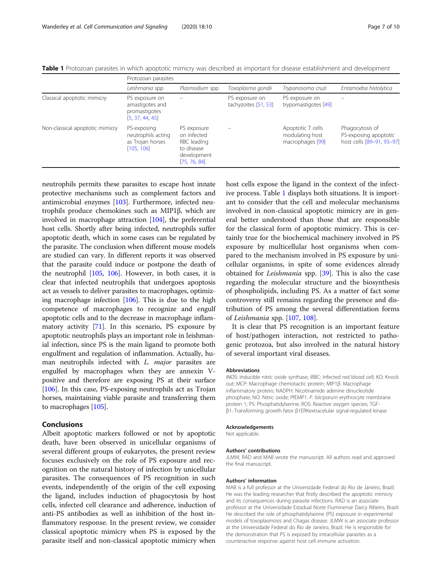|  |  |  |  |  | Table 1 Protozoan parasites in which apoptotic mimicry was described as important for disease establishment and development |  |  |
|--|--|--|--|--|-----------------------------------------------------------------------------------------------------------------------------|--|--|
|  |  |  |  |  |                                                                                                                             |  |  |

|                                 | Protozoan parasites                                                   |                                                                                        |                                        |                                                          |                                                                       |  |  |  |
|---------------------------------|-----------------------------------------------------------------------|----------------------------------------------------------------------------------------|----------------------------------------|----------------------------------------------------------|-----------------------------------------------------------------------|--|--|--|
|                                 | Leishmania spp                                                        | Plasmodium spp                                                                         | Toxoplasma gondii                      | Trypanosoma cruzi                                        | Entamoeba histolytica                                                 |  |  |  |
| Classical apoptotic mimicry     | PS exposure on<br>amastigotes and<br>promastigotes<br>[5, 37, 44, 45] |                                                                                        | PS exposure on<br>tachyzoites [51, 53] | PS exposure on<br>trypomastigotes [49]                   |                                                                       |  |  |  |
| Non-classical apoptotic mimicry | PS-exposing<br>neutrophils acting<br>as Trojan horses<br>[105, 106]   | PS exposure<br>on infected<br>RBC leading<br>to disease<br>development<br>[75, 76, 84] |                                        | Apoptotic T cells<br>modulating host<br>macrophages [99] | Phagocytosis of<br>PS-exposing apoptotic<br>host cells [89-91, 93-97] |  |  |  |

neutrophils permits these parasites to escape host innate protective mechanisms such as complement factors and antimicrobial enzymes [\[103\]](#page-9-0). Furthermore, infected neutrophils produce chemokines such as MIP1β, which are involved in macrophage attraction [[104](#page-9-0)], the preferential host cells. Shortly after being infected, neutrophils suffer apoptotic death, which in some cases can be regulated by the parasite. The conclusion when different mouse models are studied can vary. In different reports it was observed that the parasite could induce or postpone the death of the neutrophil [[105,](#page-9-0) [106](#page-9-0)]. However, in both cases, it is clear that infected neutrophils that undergoes apoptosis act as vessels to deliver parasites to macrophages, optimizing macrophage infection [[106](#page-9-0)]. This is due to the high competence of macrophages to recognize and engulf apoptotic cells and to the decrease in macrophage inflammatory activity [[71\]](#page-8-0). In this scenario, PS exposure by apoptotic neutrophils plays an important role in leishmanial infection, since PS is the main ligand to promote both engulfment and regulation of inflammation. Actually, human neutrophils infected with *L. major* parasites are engulfed by macrophages when they are annexin Vpositive and therefore are exposing PS at their surface [[106](#page-9-0)]. In this case, PS-exposing neutrophils act as Trojan horses, maintaining viable parasite and transferring them to macrophages [[105](#page-9-0)].

## Conclusions

Albeit apoptotic markers followed or not by apoptotic death, have been observed in unicellular organisms of several different groups of eukaryotes, the present review focuses exclusively on the role of PS exposure and recognition on the natural history of infection by unicellular parasites. The consequences of PS recognition in such events, independently of the origin of the cell exposing the ligand, includes induction of phagocytosis by host cells, infected cell clearance and adherence, induction of anti-PS antibodies as well as inhibition of the host inflammatory response. In the present review, we consider classical apoptotic mimicry when PS is exposed by the parasite itself and non-classical apoptotic mimicry when

host cells expose the ligand in the context of the infective process. Table 1 displays both situations. It is important to consider that the cell and molecular mechanisms involved in non-classical apoptotic mimicry are in general better understood than those that are responsible for the classical form of apoptotic mimicry. This is certainly true for the biochemical machinery involved in PS exposure by multicellular host organisms when compared to the mechanism involved in PS exposure by unicellular organisms, in spite of some evidences already obtained for *Leishmania* spp. [[39\]](#page-7-0). This is also the case regarding the molecular structure and the biosynthesis of phospholipids, including PS. As a matter of fact some controversy still remains regarding the presence and distribution of PS among the several differentiation forms of Leishmania spp. [\[107](#page-9-0), [108\]](#page-9-0).

It is clear that PS recognition is an important feature of host/pathogen interaction, not restricted to pathogenic protozoa, but also involved in the natural history of several important viral diseases.

#### Abbreviations

iNOS: Inducible nitric oxide synthase; iRBC: Infected red blood cell; KO: Knock out; MCP: Macrophage chemotactic protein; MIP1β: Macrophage inflammatory protein; NADPH: Nicotinamide adenine dinucleotide phosphate; NO: Nitric oxide; PfEMP1: P. falciparum erythrocyte membrane protein 1; PS: Phosphatidylserine; ROS: Reactive oxygen species; TGFβ1: Transforming growth fator β1ERKextracelular signal-regulated kinase

#### Acknowledgements

Not applicable.

#### Authors' contributions

JLMW, RAD and MAB wrote the manuscript. All authors read and approved the final manuscript.

#### Authors' information

MAB is a full professor at the Universidade Federal do Rio de Janeiro, Brazil. He was the leading researcher that firstly described the apoptotic mimicry and its consequences during parasite infections. RAD is an associate professor at the Universidade Estadual Norte Fluminense Darcy Ribeiro, Brazil. He described the role of phosphatidylserine (PS) exposure in experimental models of toxoplasmosis and Chagas disease. JLMW is an associate professor at the Universidade Federal do Rio de Janeiro, Brazil. He is responsible for the demonstration that PS is exposed by intracellular parasites as a counteractive response against host cell immune activation.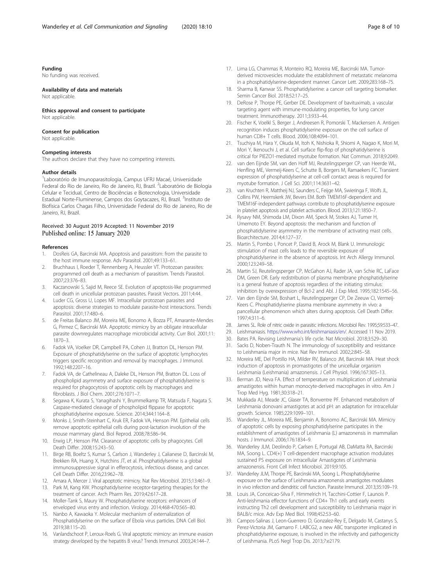## <span id="page-7-0"></span>Funding

No funding was received.

#### Availability of data and materials

Not applicable.

Ethics approval and consent to participate Not applicable.

#### Consent for publication

Not applicable.

## Competing interests

The authors declare that they have no competing interests.

#### Author details

<sup>1</sup> Laboratório de Imunoparasitologia, Campus UFRJ Macaé, Universidade Federal do Rio de Janeiro, Rio de Janeiro, RJ, Brazil. <sup>2</sup>Laboratório de Biologia Celular e Tecidual, Centro de Biociências e Biotecnologia, Universidade Estadual Norte-Fluminense, Campos dos Goytacazes, RJ, Brazil. <sup>3</sup>Instituto de Biofísica Carlos Chagas Filho, Universidade Federal do Rio de Janeiro, Rio de Janeiro, RJ, Brazil.

#### Received: 30 August 2019 Accepted: 11 November 2019 Published online: 15 January 2020

#### References

- 1. DosReis GA, Barcinski MA. Apoptosis and parasitism: from the parasite to the host immune response. Adv Parasitol. 2001;49:133–61.
- 2. Bruchhaus I, Roeder T, Rennenberg A, Heussler VT. Protozoan parasites: programmed cell death as a mechanism of parasitism. Trends Parasitol. 2007;23:376–83.
- 3. Kaczanowski S, Sajid M, Reece SE. Evolution of apoptosis-like programmed cell death in unicellular protozoan parasites. Parasit Vectors. 2011;4:44.
- 4. Luder CG, Gross U, Lopes MF. Intracellular protozoan parasites and apoptosis: diverse strategies to modulate parasite-host interactions. Trends Parasitol. 2001;17:480–6.
- de Freitas Balanco JM, Moreira ME, Bonomo A, Bozza PT, Amarante-Mendes G, Pirmez C, Barcinski MA. Apoptotic mimicry by an obligate intracellular parasite downregulates macrophage microbicidal activity. Curr Biol. 2001;11: 1870–3.
- 6. Fadok VA, Voelker DR, Campbell PA, Cohen JJ, Bratton DL, Henson PM. Exposure of phosphatidylserine on the surface of apoptotic lymphocytes triggers specific recognition and removal by macrophages. J Immunol. 1992;148:2207–16.
- 7. Fadok VA, de Cathelineau A, Daleke DL, Henson PM, Bratton DL. Loss of phospholipid asymmetry and surface exposure of phosphatidylserine is required for phagocytosis of apoptotic cells by macrophages and fibroblasts. J Biol Chem. 2001;276:1071–7.
- 8. Segawa K, Kurata S, Yanagihashi Y, Brummelkamp TR, Matsuda F, Nagata S. Caspase-mediated cleavage of phospholipid flippase for apoptotic phosphatidylserine exposure. Science. 2014;344:1164–8.
- 9. Monks J, Smith-Steinhart C, Kruk ER, Fadok VA, Henson PM. Epithelial cells remove apoptotic epithelial cells during post-lactation involution of the mouse mammary gland. Biol Reprod. 2008;78:586–94.
- 10. Erwig LP, Henson PM. Clearance of apoptotic cells by phagocytes. Cell Death Differ. 2008;15:243–50.
- 11. Birge RB, Boeltz S, Kumar S, Carlson J, Wanderley J, Calianese D, Barcinski M, Brekken RA, Huang X, Hutchins JT, et al. Phosphatidylserine is a global immunosuppressive signal in efferocytosis, infectious disease, and cancer. Cell Death Differ. 2016;23:962–78.
- 12. Amara A, Mercer J. Viral apoptotic mimicry. Nat Rev Microbiol. 2015;13:461–9.
- 13. Park M, Kang KW. Phosphatidylserine receptor-targeting therapies for the treatment of cancer. Arch Pharm Res. 2019;42:617–28.
- 14. Moller-Tank S, Maury W. Phosphatidylserine receptors: enhancers of enveloped virus entry and infection. Virology. 2014;468-470:565–80.
- 15. Nanbo A, Kawaoka Y. Molecular mechanism of externalization of Phosphatidylserine on the surface of Ebola virus particles. DNA Cell Biol. 2019;38:115–20.
- 16. Vanlandschoot P, Leroux-Roels G. Viral apoptotic mimicry: an immune evasion strategy developed by the hepatitis B virus? Trends Immunol. 2003;24:144–7.
- 17. Lima LG, Chammas R, Monteiro RQ, Moreira ME, Barcinski MA. Tumorderived microvesicles modulate the establishment of metastatic melanoma in a phosphatidylserine-dependent manner. Cancer Lett. 2009;283:168–75.
- 18. Sharma B, Kanwar SS. Phosphatidylserine: a cancer cell targeting biomarker. Semin Cancer Biol. 2018;52:17–25.
- 19. DeRose P, Thorpe PE, Gerber DE. Development of bavituximab, a vascular targeting agent with immune-modulating properties, for lung cancer treatment. Immunotherapy. 2011;3:933–44.
- 20. Fischer K, Voelkl S, Berger J, Andreesen R, Pomorski T, Mackensen A. Antigen recognition induces phosphatidylserine exposure on the cell surface of human CD8+ T cells. Blood. 2006;108:4094–101.
- 21. Tsuchiya M, Hara Y, Okuda M, Itoh K, Nishioka R, Shiomi A, Nagao K, Mori M, Mori Y, Ikenouchi J, et al. Cell surface flip-flop of phosphatidylserine is critical for PIEZO1-mediated myotube formation. Nat Commun. 2018;9:2049.
- 22. van den Eijnde SM, van den Hoff MJ, Reutelingsperger CP, van Heerde WL, Henfling ME, Vermeij-Keers C, Schutte B, Borgers M, Ramaekers FC. Transient expression of phosphatidylserine at cell-cell contact areas is required for myotube formation. J Cell Sci. 2001;114:3631–42.
- 23. van Kruchten R, Mattheij NJ, Saunders C, Feijge MA, Swieringa F, Wolfs JL, Collins PW, Heemskerk JW, Bevers EM. Both TMEM16F-dependent and TMEM16F-independent pathways contribute to phosphatidylserine exposure in platelet apoptosis and platelet activation. Blood. 2013;121:1850–7.
- 24. Rysavy NM, Shimoda LM, Dixon AM, Speck M, Stokes AJ, Turner H, Umemoto EY. Beyond apoptosis: the mechanism and function of phosphatidylserine asymmetry in the membrane of activating mast cells. Bioarchitecture. 2014;4:127–37.
- 25. Martin S, Pombo I, Poncet P, David B, Arock M, Blank U. Immunologic stimulation of mast cells leads to the reversible exposure of phosphatidylserine in the absence of apoptosis. Int Arch Allergy Immunol. 2000;123:249–58.
- 26. Martin SJ, Reutelingsperger CP, McGahon AJ, Rader JA, van Schie RC, LaFace DM, Green DR. Early redistribution of plasma membrane phosphatidylserine is a general feature of apoptosis regardless of the initiating stimulus: inhibition by overexpression of Bcl-2 and Abl. J Exp Med. 1995;182:1545–56.
- 27. Van den Eijnde SM, Boshart L, Reutelingsperger CP, De Zeeuw CI, Vermeij-Keers C. Phosphatidylserine plasma membrane asymmetry in vivo: a pancellular phenomenon which alters during apoptosis. Cell Death Differ. 1997;4:311–6.
- 28. James SL. Role of nitric oxide in parasitic infections. Microbiol Rev. 1995;59:533–47.
- 29. Leishmaniasis. [https://www.who.int/leishmaniasis/en/.](https://www.who.int/leishmaniasis/en/) Accessed 11 Nov 2019.
- 30. Bates PA. Revising Leishmania's life cycle. Nat Microbiol. 2018;3:529–30.
- 31. Sacks D, Noben-Trauth N. The immunology of susceptibility and resistance to Leishmania major in mice. Nat Rev Immunol. 2002;2:845–58.
- 32. Moreira ME, Del Portillo HA, Milder RV, Balanco JM, Barcinski MA. Heat shock induction of apoptosis in promastigotes of the unicellular organism Leishmania (Leishmania) amazonensis. J Cell Physiol. 1996;167:305–13.
- 33. Berman JD, Neva FA. Effect of temperature on multiplication of Leishmania amastigotes within human monocyte-derived macrophages in vitro. Am J Trop Med Hyg. 1981;30:318–21.
- 34. Mukkada AJ, Meade JC, Glaser TA, Bonventre PF. Enhanced metabolism of Leishmania donovani amastigotes at acid pH: an adaptation for intracellular growth. Science. 1985;229:1099–101.
- 35. Wanderley JL, Moreira ME, Benjamin A, Bonomo AC, Barcinski MA. Mimicry of apoptotic cells by exposing phosphatidylserine participates in the establishment of amastigotes of Leishmania (L) amazonensis in mammalian hosts. J Immunol. 2006;176:1834–9.
- 36. Wanderley JLM, Deolindo P, Carlsen E, Portugal AB, DaMatta RA, Barcinski MA, Soong L. CD4(+) T cell-dependent macrophage activation modulates sustained PS exposure on intracellular Amastigotes of Leishmania amazonensis. Front Cell Infect Microbiol. 2019;9:105.
- 37. Wanderley JLM, Thorpe PE, Barcinski MA, Soong L. Phosphatidylserine exposure on the surface of Leishmania amazonensis amastigotes modulates in vivo infection and dendritic cell function. Parasite Immunol. 2013;35:109–19.
- 38. Louis JA, Conceicao-Silva F, Himmelrich H, Tacchini-Cottier F, Launois P. Anti-leishmania effector functions of CD4+ Th1 cells and early events instructing Th2 cell development and susceptibility to Leishmania major in BALB/c mice. Adv Exp Med Biol. 1998;452:53–60.
- 39. Campos-Salinas J, Leon-Guerrero D, Gonzalez-Rey E, Delgado M, Castanys S, Perez-Victoria JM, Gamarro F. LABCG2, a new ABC transporter implicated in phosphatidylserine exposure, is involved in the infectivity and pathogenicity of Leishmania. PLoS Negl Trop Dis. 2013;7:e2179.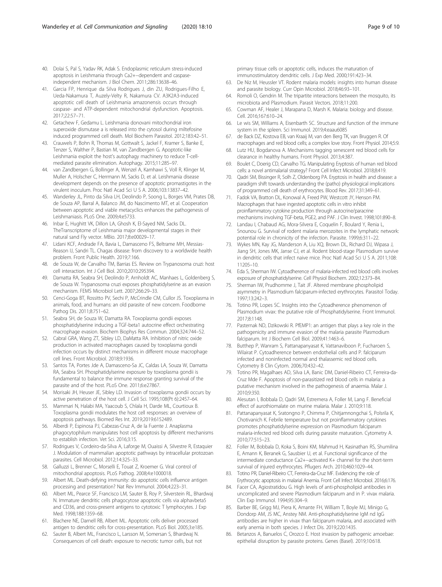- <span id="page-8-0"></span>40. Dolai S, Pal S, Yadav RK, Adak S. Endoplasmic reticulum stress-induced apoptosis in Leishmania through Ca2+−dependent and caspaseindependent mechanism. J Biol Chem. 2011;286:13638–46.
- 41. Garcia FP, Henrique da Silva Rodrigues J, din ZU, Rodrigues-Filho E, Ueda-Nakamura T, Auzely-Velty R, Nakamura CV. A3K2A3-induced apoptotic cell death of Leishmania amazonensis occurs through caspase- and ATP-dependent mitochondrial dysfunction. Apoptosis. 2017;22:57–71.
- 42. Getachew F, Gedamu L. Leishmania donovani mitochondrial iron superoxide dismutase a is released into the cytosol during miltefosine induced programmed cell death. Mol Biochem Parasitol. 2012;183:42–51.
- 43. Crauwels P, Bohn R, Thomas M, Gottwalt S, Jackel F, Kramer S, Banke E, Tenzer S, Walther P, Bastian M, van Zandbergen G. Apoptotic-like Leishmania exploit the host's autophagy machinery to reduce T-cellmediated parasite elimination. Autophagy. 2015;11:285–97.
- 44. van Zandbergen G, Bollinger A, Wenzel A, Kamhawi S, Voll R, Klinger M, Muller A, Holscher C, Herrmann M, Sacks D, et al. Leishmania disease development depends on the presence of apoptotic promastigotes in the virulent inoculum. Proc Natl Acad Sci U S A. 2006;103:13837–42.
- 45. Wanderley JL, Pinto da Silva LH, Deolindo P, Soong L, Borges VM, Prates DB, de Souza AP, Barral A, Balanco JM, do Nascimento MT, et al. Cooperation between apoptotic and viable metacyclics enhances the pathogenesis of Leishmaniasis. PLoS One. 2009;4:e5733.
- 46. Inbar E, Hughitt VK, Dillon LA, Ghosh K, El-Sayed NM, Sacks DL. TheTranscriptome of Leishmania major developmental stages in their natural sand Fly vector. MBio. 2017;8:e00029–17.
- 47. Lidani KCF, Andrade FA, Bavia L, Damasceno FS, Beltrame MH, Messias-Reason IJ, Sandri TL. Chagas disease: from discovery to a worldwide health problem. Front Public Health. 2019;7:166.
- de Souza W, de Carvalho TM, Barrias ES. Review on Trypanosoma cruzi: host cell interaction. Int J Cell Biol. 2010;2010:295394.
- 49. Damatta RA, Seabra SH, Deolindo P, Arnholdt AC, Manhaes L, Goldenberg S, de Souza W. Trypanosoma cruzi exposes phosphatidylserine as an evasion mechanism. FEMS Microbiol Lett. 2007;266:29–33.
- 50. Cenci-Goga BT, Rossitto PV, Sechi P, McCrindle CM, Cullor JS. Toxoplasma in animals, food, and humans: an old parasite of new concern. Foodborne Pathog Dis. 2011;8:751–62.
- 51. Seabra SH, de Souza W, Damatta RA. Toxoplasma gondii exposes phosphatidylserine inducing a TGF-beta1 autocrine effect orchestrating macrophage evasion. Biochem Biophys Res Commun. 2004;324:744–52.
- 52. Cabral GRA, Wang ZT, Sibley LD, DaMatta RA. Inhibition of nitric oxide production in activated macrophages caused by toxoplasma gondii infection occurs by distinct mechanisms in different mouse macrophage cell lines. Front Microbiol. 2018;9:1936.
- 53. Santos TA, Portes Jde A, Damasceno-Sa JC, Caldas LA, Souza W, Damatta RA, Seabra SH. Phosphatidylserine exposure by toxoplasma gondii is fundamental to balance the immune response granting survival of the parasite and of the host. PLoS One. 2011;6:e27867.
- 54. Morisaki JH, Heuser JE, Sibley LD. Invasion of toxoplasma gondii occurs by active penetration of the host cell. J Cell Sci. 1995;108(Pt 6):2457–64.
- 55. Mammari N, Halabi MA, Yaacoub S, Chlala H, Darde ML, Courtioux B. Toxoplasma gondii modulates the host cell responses: an overview of apoptosis pathways. Biomed Res Int. 2019;2019:6152489.
- 56. Alberdi P, Espinosa PJ, Cabezas-Cruz A, de la Fuente J. Anaplasma phagocytophilum manipulates host cell apoptosis by different mechanisms to establish infection. Vet Sci. 2016;3:15.
- 57. Rodrigues V, Cordeiro-da-Silva A, Laforge M, Ouaissi A, Silvestre R, Estaquier J. Modulation of mammalian apoptotic pathways by intracellular protozoan parasites. Cell Microbiol. 2012;14:325–33.
- 58. Galluzzi L, Brenner C, Morselli E, Touat Z, Kroemer G. Viral control of mitochondrial apoptosis. PLoS Pathog. 2008;4:e1000018.
- 59. Albert ML. Death-defying immunity: do apoptotic cells influence antigen processing and presentation? Nat Rev Immunol. 2004;4:223–31.
- 60. Albert ML, Pearce SF, Francisco LM, Sauter B, Roy P, Silverstein RL, Bhardwaj N. Immature dendritic cells phagocytose apoptotic cells via alphavbeta5 and CD36, and cross-present antigens to cytotoxic T lymphocytes. J Exp Med. 1998;188:1359–68.
- 61. Blachere NE, Darnell RB, Albert ML. Apoptotic cells deliver processed antigen to dendritic cells for cross-presentation. PLoS Biol. 2005;3:e185.
- 62. Sauter B, Albert ML, Francisco L, Larsson M, Somersan S, Bhardwaj N. Consequences of cell death: exposure to necrotic tumor cells, but not

primary tissue cells or apoptotic cells, induces the maturation of immunostimulatory dendritic cells. J Exp Med. 2000;191:423–34.

- 63. De Niz M, Heussler VT. Rodent malaria models: insights into human disease and parasite biology. Curr Opin Microbiol. 2018;46:93–101.
- 64. Romoli O, Gendrin M. The tripartite interactions between the mosquito, its microbiota and Plasmodium. Parasit Vectors. 2018;11:200.
- 65. Cowman AF, Healer J, Marapana D, Marsh K. Malaria: biology and disease. Cell. 2016;167:610–24.
- 66. Le wis SM, Williams A, Eisenbarth SC. Structure and function of the immune system in the spleen. Sci Immunol. 2019;4:eaau6085
- 67. de Back DZ, Kostova EB, van Kraaij M, van den Berg TK, van Bruggen R. Of macrophages and red blood cells; a complex love story. Front Physiol. 2014;5:9.
- 68. Lutz HU, Bogdanova A. Mechanisms tagging senescent red blood cells for clearance in healthy humans. Front Physiol. 2013;4:387.
- 69. Boulet C, Doerig CD, Carvalho TG. Manipulating Eryptosis of human red blood cells: a novel antimalarial strategy? Front Cell Infect Microbiol. 2018;8:419.
- 70. Qadri SM, Bissinger R, Solh Z, Oldenborg PA. Eryptosis in health and disease: a paradigm shift towards understanding the (patho) physiological implications of programmed cell death of erythrocytes. Blood Rev. 2017;31:349–61.
- 71. Fadok VA, Bratton DL, Konowal A, Freed PW, Westcott JY, Henson PM. Macrophages that have ingested apoptotic cells in vitro inhibit proinflammatory cytokine production through autocrine/paracrine mechanisms involving TGF-beta, PGE2, and PAF. J Clin Invest. 1998;101:890–8.
- 72. Landau I, Chabaud AG, Mora-Silvera E, Coquelin F, Boulard Y, Renia L, Snounou G. Survival of rodent malaria merozoites in the lymphatic network: potential role in chronicity of the infection. Parasite. 1999;6:311–22.
- 73. Wykes MN, Kay JG, Manderson A, Liu XQ, Brown DL, Richard DJ, Wipasa J, Jiang SH, Jones MK, Janse CJ, et al. Rodent blood-stage Plasmodium survive in dendritic cells that infect naive mice. Proc Natl Acad Sci U S A. 2011;108: 11205–10.
- 74. Eda S, Sherman IW. Cytoadherence of malaria-infected red blood cells involves exposure of phosphatidylserine. Cell Physiol Biochem. 2002;12:373–84.
- 75. Sherman IW, Prudhomme J, Tait JF. Altered membrane phospholipid asymmetry in Plasmodium falciparum-infected erythrocytes. Parasitol Today. 1997;13:242–3.
- 76. Totino PR, Lopes SC. Insights into the Cytoadherence phenomenon of Plasmodium vivax: the putative role of Phosphatidylserine. Front Immunol. 2017;8:1148.
- 77. Pasternak ND, Dzikowski R. PfEMP1: an antigen that plays a key role in the pathogenicity and immune evasion of the malaria parasite Plasmodium falciparum. Int J Biochem Cell Biol. 2009;41:1463–6.
- 78. Butthep P, Wanram S, Pattanapanyasat K, Vattanaviboon P, Fucharoen S, Wilairat P. Cytoadherence between endothelial cells and P. falciparum infected and noninfected normal and thalassemic red blood cells. Cytometry B Clin Cytom. 2006;70:432–42.
- 79. Totino PR, Magalhaes AD, Silva LA, Banic DM, Daniel-Ribeiro CT, Ferreira-da-Cruz Mde F. Apoptosis of non-parasitized red blood cells in malaria: a putative mechanism involved in the pathogenesis of anaemia. Malar J. 2010;9:350.
- 80. Alesutan I, Bobbala D, Qadri SM, Estremera A, Foller M, Lang F. Beneficial effect of aurothiomalate on murine malaria. Malar J. 2010;9:118.
- 81. Pattanapanyasat K, Sratongno P, Chimma P, Chitjamnongchai S, Polsrila K, Chotivanich K. Febrile temperature but not proinflammatory cytokines promotes phosphatidylserine expression on Plasmodium falciparum malaria-infected red blood cells during parasite maturation. Cytometry A. 2010;77:515–23.
- 82. Foller M, Bobbala D, Koka S, Boini KM, Mahmud H, Kasinathan RS, Shumilina E, Amann K, Beranek G, Sausbier U, et al. Functional significance of the intermediate conductance Ca2+−activated K+ channel for the short-term survival of injured erythrocytes. Pflugers Arch. 2010;460:1029–44.
- 83. Totino PR, Daniel-Ribeiro CT, Ferreira-da-Cruz MF. Evidencing the role of Erythrocytic apoptosis in malarial Anemia. Front Cell Infect Microbiol. 2016;6:176.
- 84. Facer CA, Agiostratidou G. High levels of anti-phospholipid antibodies in uncomplicated and severe Plasmodium falciparum and in P. vivax malaria. Clin Exp Immunol. 1994;95:304–9.
- 85. Barber BE, Grigg MJ, Piera K, Amante FH, William T, Boyle MJ, Minigo G, Dondorp AM, JS MC, Anstey NM. Anti-phosphatidylserine IgM nd IgG antibodies are higher in vivax than falciparum malaria, and associated with early anemia in both species. J Infect Dis. 2019;220:1435.
- 86. Betanzos A, Banuelos C, Orozco E. Host invasion by pathogenic amoebae: epithelial disruption by parasite proteins. Genes (Basel). 2019;10:618.